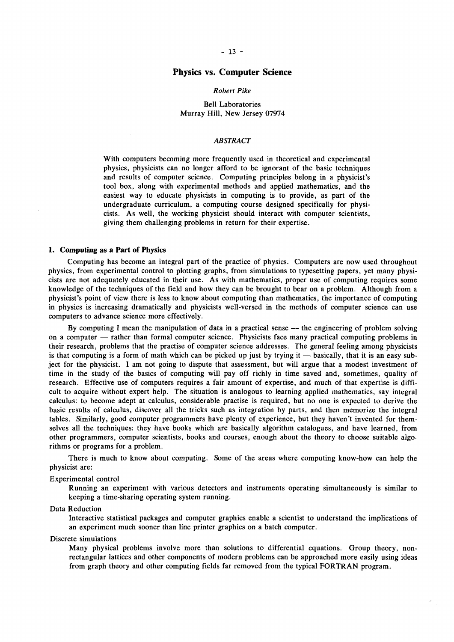### Physics vs. Computer Science

# *Robert Pike*

# **Bell Laboratories Murray Hill, New Jersey 07974**

# *ABSTRACT*

**With computers becoming more frequently used in theoretical and experimental physics, physicists can no longer afford to be ignorant of the basic techniques and results of computer science. Computing principles belong in a physicist's tool box, along with experimental methods and applied mathematics, and the easiest way to educate physicists in computing is to provide, as part of the undergraduate curriculum, a computing course designed specifically for physicists. As well, the working physicist should interact with computer scientists, giving them challenging problems in return for their expertise.** 

### **1. Computing as a Part of Physics**

**Computing has become an integral part of the practice of physics. Computers are now used throughout physics, from experimental control to plotting graphs, from simulations to typesetting papers, yet many physicists are not adequately educated in their use. As with mathematics, proper use of computing requires some knowledge of the techniques of the field and how they can be brought to bear on a problem. Although from a physicist's point of view there is less to know about computing than mathematics, the importance of computing in physics is increasing dramatically and physicists well-versed in the methods of computer science can use computers to advance science more effectively.** 

**By computing I mean the manipulation of data in a practical sense — the engineering of problem solving on a computer — rather than formal computer science. Physicists face many practical computing problems in their research, problems that the practise of computer science addresses. The general feeling among physicists is that computing is a form of math which can be picked up just by trying it — basically, that it is an easy subject for the physicist. I am not going to dispute that assessment, but will argue that a modest investment of time in the study of the basics of computing will pay off richly in time saved and, sometimes, quality of research. Effective use of computers requires a fair amount of expertise, and much of that expertise is difficult to acquire without expert help. The situation is analogous to learning applied mathematics, say integral calculus: to become adept at calculus, considerable practise is required, but no one is expected to derive the basic results of calculus, discover all the tricks such as integration by parts, and then memorize the integral tables. Similarly, good computer programmers have plenty of experience, but they haven't invented for themselves all the techniques: they have books which are basically algorithm catalogues, and have learned, from other programmers, computer scientists, books and courses, enough about the theory to choose suitable algorithms or programs for a problem.** 

**There is much to know about computing. Some of the areas where computing know-how can help the physicist are:** 

#### **Experimental control**

**Running an experiment with various detectors and instruments operating simultaneously is similar to keeping a time-sharing operating system running.** 

**Data Reduction** 

**Interactive statistical packages and computer graphics enable a scientist to understand the implications of an experiment much sooner than line printer graphics on a batch computer.** 

**Discrete simulations** 

**Many physical problems involve more than solutions to differential equations. Group theory, nonrectangular lattices and other components of modern problems can be approached more easily using ideas from graph theory and other computing fields far removed from the typical FORTRAN program.**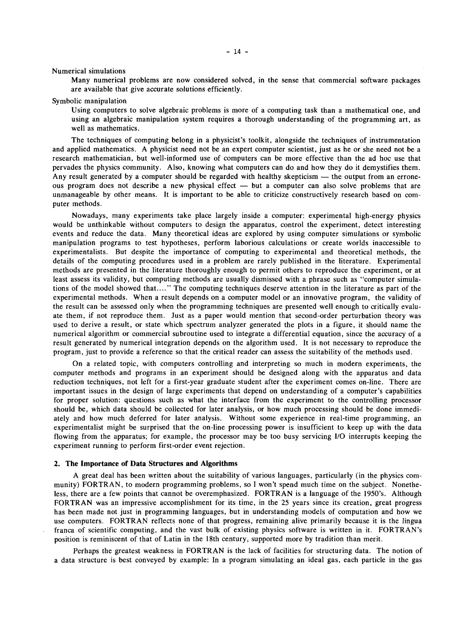### Numerical simulations

Many numerical problems are now considered solved, in the sense that commercial software packages are available that give accurate solutions efficiently.

# Symbolic manipulation

Using computers to solve algebraic problems is more of a computing task than a mathematical one, and using an algebraic manipulation system requires a thorough understanding of the programming art, as well as mathematics.

The techniques of computing belong in a physicist's toolkit, alongside the techniques of instrumentation and applied mathematics. A physicist need not be an expert computer scientist, just as he or she need not be a research mathematician, but well-informed use of computers can be more effective than the ad hoc use that pervades the physics community. Also, knowing what computers can do and how they do it demystifies them. Any result generated by a computer should be regarded with healthy skepticism — the output from an erroneous program does not describe a new physical effect — but a computer can also solve problems that are unmanageable by other means. It is important to be able to criticize constructively research based on computer methods.

Nowadays, many experiments take place largely inside a computer: experimental high-energy physics would be unthinkable without computers to design the apparatus, control the experiment, detect interesting events and reduce the data. Many theoretical ideas are explored by using computer simulations or symbolic manipulation programs to test hypotheses, perform laborious calculations or create worlds inaccessible to experimentalists. But despite the importance of computing to experimental and theoretical methods, the details of the computing procedures used in a problem are rarely published in the literature. Experimental methods are presented in the literature thoroughly enough to permit others to reproduce the experiment, or at least assess its validity, but computing methods are usually dismissed with a phrase such as "computer simulations of the model showed that...." The computing techniques deserve attention in the literature as part of the experimental methods. When a result depends on a computer model or an innovative program, the validity of the result can be assessed only when the programming techniques are presented well enough to critically evaluate them, if not reproduce them. Just as a paper would mention that second-order perturbation theory was used to derive a result, or state which spectrum analyzer generated the plots in a figure, it should name the numerical algorithm or commercial subroutine used to integrate a differential equation, since the accuracy of a result generated by numerical integration depends on the algorithm used. It is not necessary to reproduce the program, just to provide a reference so that the critical reader can assess the suitability of the methods used.

On a related topic, with computers controlling and interpreting so much in modern experiments, the computer methods and programs in an experiment should be designed along with the apparatus and data reduction techniques, not left for a first-year graduate student after the experiment comes on-line. There are important issues in the design of large experiments that depend on understanding of a computer's capabilities for proper solution: questions such as what the interface from the experiment to the controlling processor should be, which data should be collected for later analysis, or how much processing should be done immediately and how much deferred for later analysis. Without some experience in real-time programming, an experimentalist might be surprised that the on-line processing power is insufficient to keep up with the data flowing from the apparatus; for example, the processor may be too busy servicing I/O interrupts keeping the experiment running to perform first-order event rejection.

### **2. The Importance of Data Structures and Algorithms**

A great deal has been written about the suitability of various languages, particularly (in the physics community) FORTRAN, to modern programming problems, so I won't spend much time on the subject. Nonetheless, there are a few points that cannot be overemphasized. FORTRAN is a language of the 1950's. Although FORTRAN was an impressive accomplishment for its time, in the 25 years since its creation, great progress has been made not just in programming languages, but in understanding models of computation and how we use computers. FORTRAN reflects none of that progress, remaining alive primarily because it is the lingua franca of scientific computing, and the vast bulk of existing physics software is written in it. FORTRAN's position is reminiscent of that of Latin in the 18th century, supported more by tradition than merit.

Perhaps the greatest weakness in FORTRAN is the lack of facilities for structuring data. The notion of a data structure is best conveyed by example: In a program simulating an ideal gas, each particle in the gas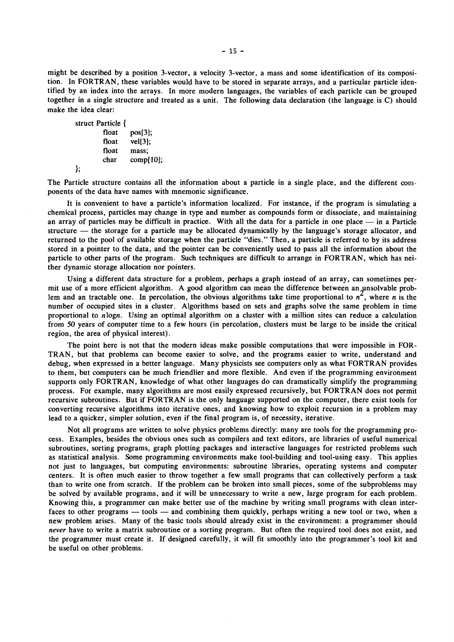**might be described by a position 3-vector, a velocity 3-vector, a mass and some identification of its composition. In FORTRAN, these variables would have to be stored in separate arrays, and a particular particle identified by an index into the arrays. In more modern languages, the variables of each particle can be grouped together in a single structure and treated as a unit. The following data declaration (the language is C) should make the idea clear:** 

**struct Particle {**  float pos[3];<br>float vel[3]; float vel[3];<br>float mass: mass; char comp[10]; };

**The Particle structure contains all the information about a particle in a single place, and the different components of the data have names with mnemonic significance.** 

**It is convenient to have a particle's information localized. For instance, if the program is simulating a chemical process, particles may change in type and number as compounds form or dissociate, and maintaining an array of particles may be difficult in practice. With all the data for a particle in one place — in a Particle structure — the storage for a particle may be allocated dynamically by the language's storage allocator, and returned to the pool of available storage when the particle "dies." Then, a particle is referred to by its address stored in a pointer to the data, and the pointer can be conveniently used to pass all the information about the particle to other parts of the program. Such techniques are difficult to arrange in FORTRAN, which has neither dynamic storage allocation nor pointers.** 

**Using a different data structure for a problem, perhaps a graph instead of an array, can sometimes per**mit use of a more efficient algorithm. A good algorithm can mean the difference between an unsolvable problem and an tractable one. In percolation, the obvious algorithms take time proportional to  $n^2$ , where *n* is the **number of occupied sites in a cluster. Algorithms based on sets and graphs solve the same problem in time proportional to nlogn. Using an optimal algorithm on a cluster with a million sites can reduce a calculation from 50 years of computer time to a few hours (in percolation, clusters must be large to be inside the critical region, the area of physical interest).** 

**The point here is not that the modern ideas make possible computations that were impossible in FOR-TRAN, but that problems can become easier to solve, and the programs easier to write, understand and debug, when expressed in a better language. Many physicists see computers only as what FORTRAN provides to them, but computers can be much friendlier and more flexible. And even if the programming environment supports only FORTRAN, knowledge of what other languages do can dramatically simplify the programming process. For example, many algorithms are most easily expressed recursively, but FORTRAN does not permit recursive subroutines. But if FORTRAN is the only language supported on the computer, there exist tools for converting recursive algorithms into iterative ones, and knowing how to exploit recursion in a problem may lead to a quicker, simpler solution, even if the final program is, of necessity, iterative.** 

**Not all programs are written to solve physics problems directly: many are tools for the programming process. Examples, besides the obvious ones such as compilers and text editors, are libraries of useful numerical subroutines, sorting programs, graph plotting packages and interactive languages for restricted problems such as statistical analysis. Some programming environments make tool-building and tool-using easy. This applies not just to languages, but computing environments: subroutine libraries, operating systems and computer centers. It is often much easier to throw together a few small programs that can collectively perform a task than to write one from scratch. If the problem can be broken into small pieces, some of the subproblems may be solved by available programs, and it will be unnecessary to write a new, large program for each problem. Knowing this, a programmer can make better use of the machine by writing small programs with clean interfaces to other programs — tools — and combining them quickly, perhaps writing a new tool or two, when a new problem arises. Many of the basic tools should already exist in the environment: a programmer should**  *never* **have to write a matrix subroutine or a sorting program. But often the required tool does not exist, and the programmer must create it. If designed carefully, it will fit smoothly into the programmer's tool kit and be useful on other problems.**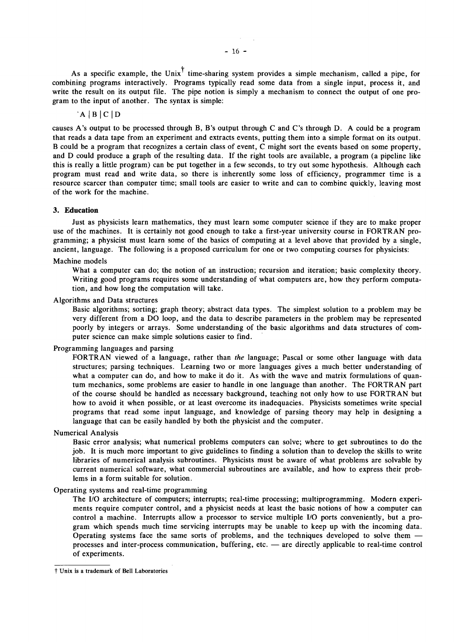As a specific example, the Unix<sup>†</sup> time-sharing system provides a simple mechanism, called a pipe, for **combining programs interactively. Programs typically read some data from a single input, process it, and**  write the result on its output file. The pipe notion is simply a mechanism to connect the output of one pro**gram to the input of another. The syntax is simple:** 

**'A** I **B** I **C** I **D** 

**causes A's output to be processed through B, B's output through C and C's through D. A could be a program that reads a data tape from an experiment and extracts events, putting them into a simple format on its output. B could be a program that recognizes a certain class of event, C might sort the events based on some property, and D could produce a graph of the resulting data. If the right tools are available, a program (a pipeline like this is really a little program) can be put together in a few seconds, to try out some hypothesis. Although each program must read and write data, so there is inherently some loss of efficiency, programmer time is a resource scarcer than computer time; small tools are easier to write and can to combine quickly, leaving most of the work for the machine.** 

### 3. **Education**

**Just as physicists learn mathematics, they must learn some computer science if they are to make proper use of the machines. It is certainly not good enough to take a first-year university course in FORTRAN programming; a physicist must learn some of the basics of computing at a level above that provided by a single, ancient, language. The following is a proposed curriculum for one or two computing courses for physicists:** 

#### **Machine models**

What a computer can do; the notion of an instruction; recursion and iteration; basic complexity theory. **Writing good programs requires some understanding of what computers are, how they perform computation, and how long the computation will take.** 

### **Algorithms and Data structures**

**Basic algorithms; sorting; graph theory; abstract data types. The simplest solution to a problem may be very different from a DO loop, and the data to describe parameters in the problem may be represented poorly by integers or arrays. Some understanding of the basic algorithms and data structures of computer science can make simple solutions easier to find.** 

### **Programming languages and parsing**

**FORTRAN viewed of a language, rather than** *the* **language; Pascal or some other language with data structures; parsing techniques. Learning two or more languages gives a much better understanding of what a computer can do, and how to make it do it. As with the wave and matrix formulations of quantum mechanics, some problems are easier to handle in one language than another. The FORTRAN part of the course should be handled as necessary background, teaching not only how to use FORTRAN but how to avoid it when possible, or at least overcome its inadequacies. Physicists sometimes write special programs that read some input language, and knowledge of parsing theory may help in designing a language that can be easily handled by both the physicist and the computer.** 

### **Numerical Analysis**

**Basic error analysis; what numerical problems computers can solve; where to get subroutines to do the job. It is much more important to give guidelines to finding a solution than to develop the skills to write libraries of numerical analysis subroutines. Physicists must be aware of what problems are solvable by current numerical software, what commercial subroutines are available, and how to express their problems in a form suitable for solution.** 

## **Operating systems and real-time programming**

**The I/O architecture of computers; interrupts; real-time processing; multiprogramming. Modern experiments require computer control, and a physicist needs at least the basic notions of how a computer can control a machine. Interrupts allow a processor to service multiple I/O ports conveniently, but a program which spends much time servicing interrupts may be unable to keep up with the incoming data. Operating systems face the same sorts of problems, and the techniques developed to solve them processes and inter-process communication, buffering, etc. — are directly applicable to real-time control of experiments.** 

t Unix is a trademark of Bell Laboratories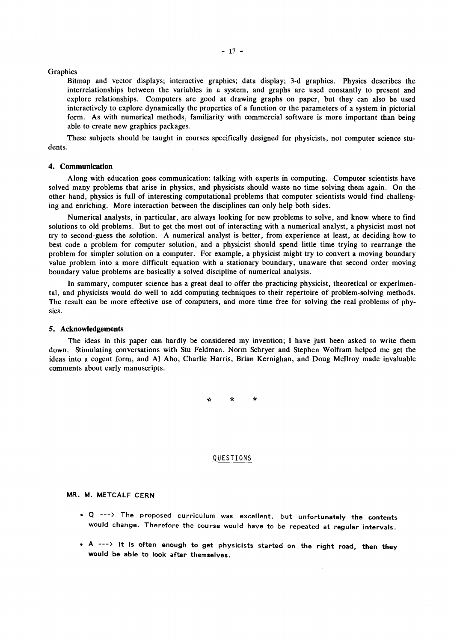## **Graphics**

**Bitmap and vector displays; interactive graphics; data display;** 3**-d graphics. Physics describes the interrelationships between the variables in a system, and graphs are used constantly to present and explore relationships. Computers are good at drawing graphs on paper, but they can also be used interactively to explore dynamically the properties of a function or the parameters of a system in pictorial form. As with numerical methods, familiarity with commercial software is more important than being able to create new graphics packages.** 

**These subjects should be taught in courses specifically designed for physicists, not computer science students.** 

## **4. Communication**

**Along with education goes communication: talking with experts in computing. Computer scientists have solved many problems that arise in physics, and physicists should waste no time solving them again. On the other hand, physics is full of interesting computational problems that computer scientists would find challenging and enriching. More interaction between the disciplines can only help both sides.** 

**Numerical analysts, in particular, are always looking for new problems to solve, and know where to find solutions to old problems. But to get the most out of interacting with a numerical analyst, a physicist must not try to second-guess the solution. A numerical analyst is better, from experience at least, at deciding how to best code a problem for computer solution, and a physicist should spend little time trying to rearrange the problem for simpler solution on a computer. For example, a physicist might try to convert a moving boundary value problem into a more difficult equation with a stationary boundary, unaware that second order moving boundary value problems are basically a solved discipline of numerical analysis.** 

**In summary, computer science has a great deal to offer the practicing physicist, theoretical or experimental, and physicists would do well to add computing techniques to their repertoire of problem-solving methods. The result can be more effective use of computers, and more time free for solving the real problems of physics.** 

## 5. **Acknowledgements**

**The ideas in this paper can hardly be considered my invention; I have just been asked to write them down. Stimulating conversations with Stu Feldman, Norm Schryer and Stephen Wolfram helped me get the ideas into a cogent form, and Al Aho, Charlie Harris, Brian Kernighan, and Doug McJJroy made invaluable comments about early manuscripts.** 

**\* \* \*** 

#### **QUESTION S**

#### MR. M. METCALF CERN

- Q ---> The proposed curriculum was excellent, but unfortunately the contents would change. Therefore the course would have to be repeated at regular intervals.
- A ---> It is often enough to get physicists started on the right road, then they would be able to look after themselves.